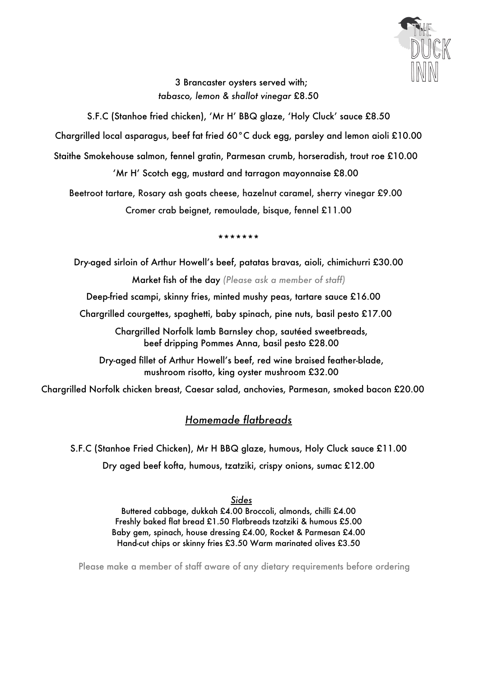

3 Brancaster oysters served with; *tabasco, lemon & shallot vinegar* £8.50

S.F.C (Stanhoe fried chicken), 'Mr H' BBQ glaze, 'Holy Cluck' sauce £8.50

Chargrilled local asparagus, beef fat fried 60°C duck egg, parsley and lemon aioli £10.00

Staithe Smokehouse salmon, fennel gratin, Parmesan crumb, horseradish, trout roe £10.00

'Mr H' Scotch egg, mustard and tarragon mayonnaise £8.00

Beetroot tartare, Rosary ash goats cheese, hazelnut caramel, sherry vinegar £9.00 Cromer crab beignet, remoulade, bisque, fennel £11.00

\*\*\*\*\*\*\*

Dry-aged sirloin of Arthur Howell's beef, patatas bravas, aioli, chimichurri £30.00 Market fish of the day *(Please ask a member of staff)* Deep-fried scampi, skinny fries, minted mushy peas, tartare sauce £16.00 Chargrilled courgettes, spaghetti, baby spinach, pine nuts, basil pesto £17.00 Chargrilled Norfolk lamb Barnsley chop, sautéed sweetbreads, beef dripping Pommes Anna, basil pesto £28.00 Dry-aged fillet of Arthur Howell's beef, red wine braised feather-blade, mushroom risotto, king oyster mushroom £32.00

Chargrilled Norfolk chicken breast, Caesar salad, anchovies, Parmesan, smoked bacon £20.00

#### *Homemade flatbreads*

S.F.C (Stanhoe Fried Chicken), Mr H BBQ glaze, humous, Holy Cluck sauce £11.00 Dry aged beef kofta, humous, tzatziki, crispy onions, sumac £12.00

#### *Sides*

Buttered cabbage, dukkah £4.00 Broccoli, almonds, chilli £4.00 Freshly baked flat bread £1.50 Flatbreads tzatziki & humous £5.00 Baby gem, spinach, house dressing £4.00, Rocket & Parmesan £4.00 Hand-cut chips or skinny fries £3.50 Warm marinated olives £3.50

Please make a member of staff aware of any dietary requirements before ordering